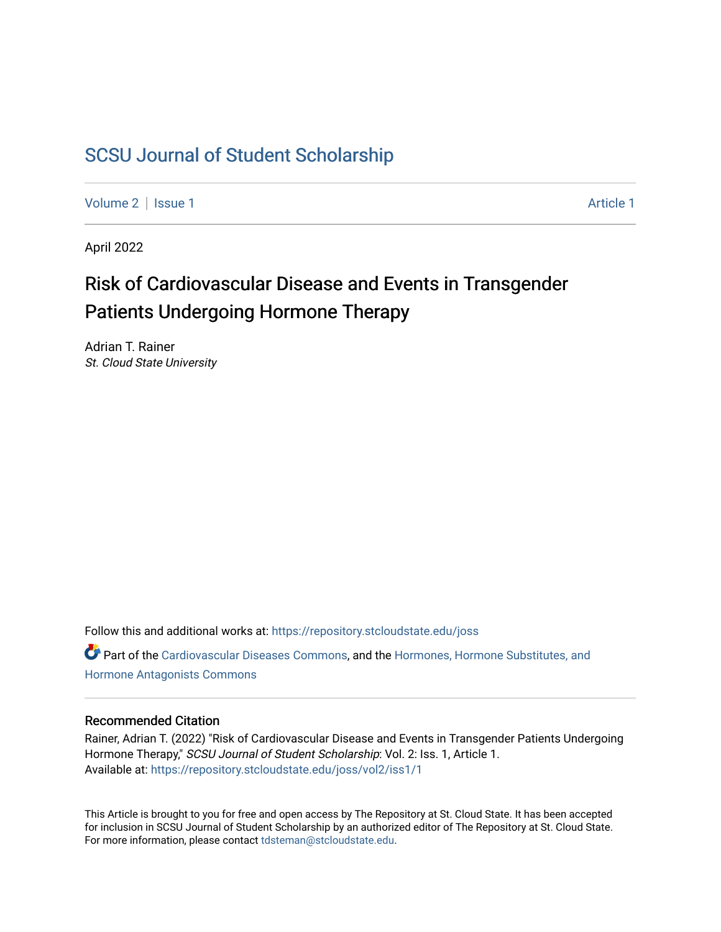## [SCSU Journal of Student Scholarship](https://repository.stcloudstate.edu/joss)

[Volume 2](https://repository.stcloudstate.edu/joss/vol2) | [Issue 1](https://repository.stcloudstate.edu/joss/vol2/iss1) Article 1

April 2022

# Risk of Cardiovascular Disease and Events in Transgender Patients Undergoing Hormone Therapy

Adrian T. Rainer St. Cloud State University

Follow this and additional works at: [https://repository.stcloudstate.edu/joss](https://repository.stcloudstate.edu/joss?utm_source=repository.stcloudstate.edu%2Fjoss%2Fvol2%2Fiss1%2F1&utm_medium=PDF&utm_campaign=PDFCoverPages)  Part of the [Cardiovascular Diseases Commons](http://network.bepress.com/hgg/discipline/929?utm_source=repository.stcloudstate.edu%2Fjoss%2Fvol2%2Fiss1%2F1&utm_medium=PDF&utm_campaign=PDFCoverPages), and the [Hormones, Hormone Substitutes, and](http://network.bepress.com/hgg/discipline/952?utm_source=repository.stcloudstate.edu%2Fjoss%2Fvol2%2Fiss1%2F1&utm_medium=PDF&utm_campaign=PDFCoverPages)  [Hormone Antagonists Commons](http://network.bepress.com/hgg/discipline/952?utm_source=repository.stcloudstate.edu%2Fjoss%2Fvol2%2Fiss1%2F1&utm_medium=PDF&utm_campaign=PDFCoverPages)

#### Recommended Citation

Rainer, Adrian T. (2022) "Risk of Cardiovascular Disease and Events in Transgender Patients Undergoing Hormone Therapy," SCSU Journal of Student Scholarship: Vol. 2: Iss. 1, Article 1. Available at: [https://repository.stcloudstate.edu/joss/vol2/iss1/1](https://repository.stcloudstate.edu/joss/vol2/iss1/1?utm_source=repository.stcloudstate.edu%2Fjoss%2Fvol2%2Fiss1%2F1&utm_medium=PDF&utm_campaign=PDFCoverPages)

This Article is brought to you for free and open access by The Repository at St. Cloud State. It has been accepted for inclusion in SCSU Journal of Student Scholarship by an authorized editor of The Repository at St. Cloud State. For more information, please contact [tdsteman@stcloudstate.edu.](mailto:tdsteman@stcloudstate.edu)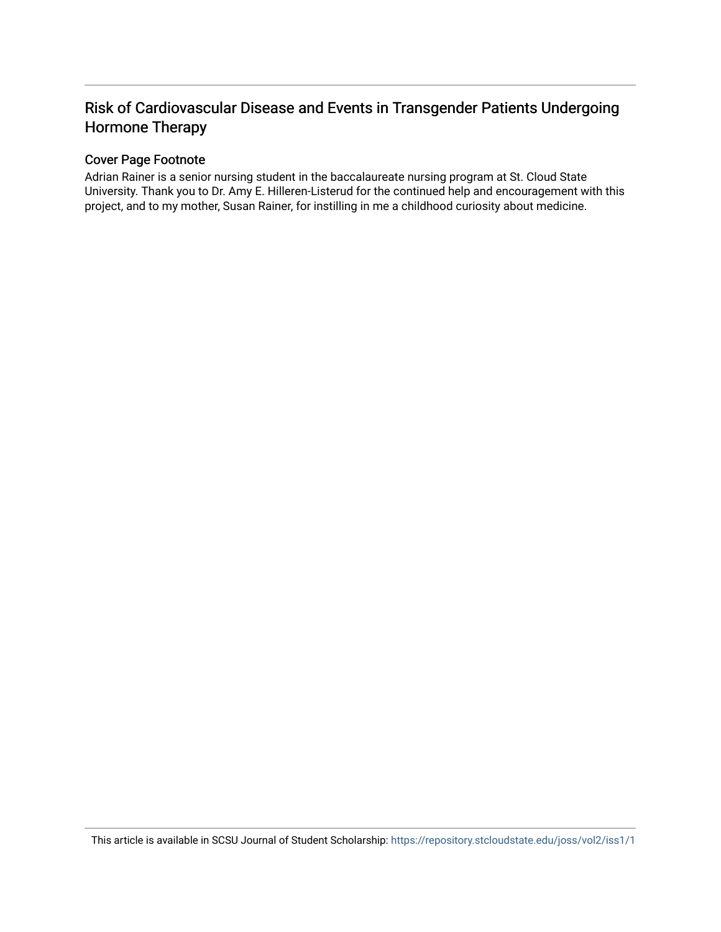## Risk of Cardiovascular Disease and Events in Transgender Patients Undergoing Hormone Therapy

#### Cover Page Footnote

Adrian Rainer is a senior nursing student in the baccalaureate nursing program at St. Cloud State University. Thank you to Dr. Amy E. Hilleren-Listerud for the continued help and encouragement with this project, and to my mother, Susan Rainer, for instilling in me a childhood curiosity about medicine.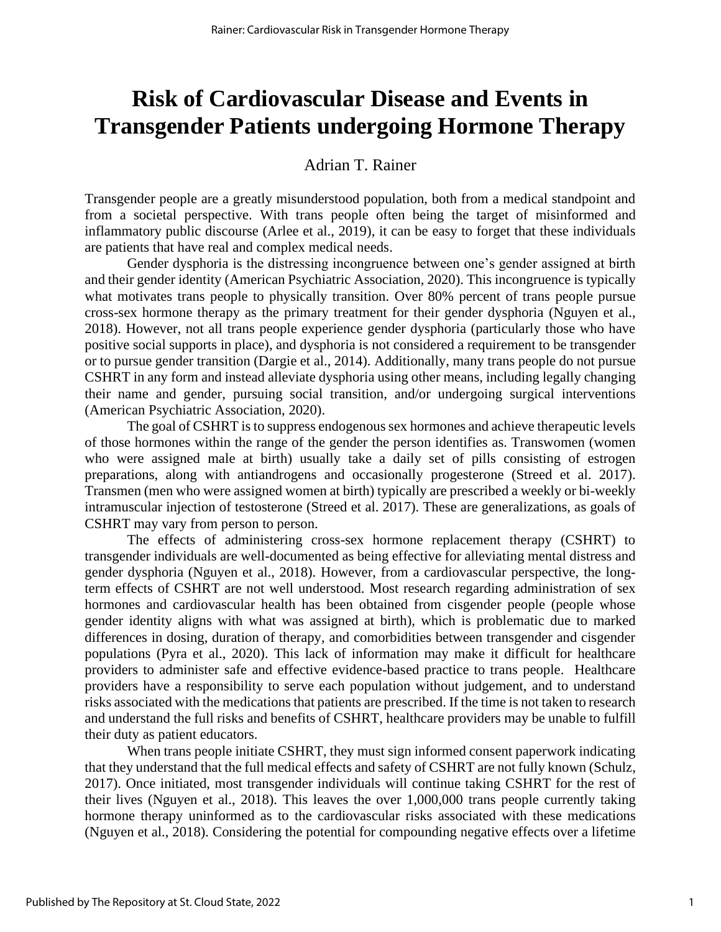# **Risk of Cardiovascular Disease and Events in Transgender Patients undergoing Hormone Therapy**

## Adrian T. Rainer

Transgender people are a greatly misunderstood population, both from a medical standpoint and from a societal perspective. With trans people often being the target of misinformed and inflammatory public discourse (Arlee et al., 2019), it can be easy to forget that these individuals are patients that have real and complex medical needs.

Gender dysphoria is the distressing incongruence between one's gender assigned at birth and their gender identity (American Psychiatric Association, 2020). This incongruence is typically what motivates trans people to physically transition. Over 80% percent of trans people pursue cross-sex hormone therapy as the primary treatment for their gender dysphoria (Nguyen et al., 2018). However, not all trans people experience gender dysphoria (particularly those who have positive social supports in place), and dysphoria is not considered a requirement to be transgender or to pursue gender transition (Dargie et al., 2014). Additionally, many trans people do not pursue CSHRT in any form and instead alleviate dysphoria using other means, including legally changing their name and gender, pursuing social transition, and/or undergoing surgical interventions (American Psychiatric Association, 2020).

The goal of CSHRT is to suppress endogenous sex hormones and achieve therapeutic levels of those hormones within the range of the gender the person identifies as. Transwomen (women who were assigned male at birth) usually take a daily set of pills consisting of estrogen preparations, along with antiandrogens and occasionally progesterone (Streed et al. 2017). Transmen (men who were assigned women at birth) typically are prescribed a weekly or bi-weekly intramuscular injection of testosterone (Streed et al. 2017). These are generalizations, as goals of CSHRT may vary from person to person.

The effects of administering cross-sex hormone replacement therapy (CSHRT) to transgender individuals are well-documented as being effective for alleviating mental distress and gender dysphoria (Nguyen et al., 2018). However, from a cardiovascular perspective, the longterm effects of CSHRT are not well understood. Most research regarding administration of sex hormones and cardiovascular health has been obtained from cisgender people (people whose gender identity aligns with what was assigned at birth), which is problematic due to marked differences in dosing, duration of therapy, and comorbidities between transgender and cisgender populations (Pyra et al., 2020). This lack of information may make it difficult for healthcare providers to administer safe and effective evidence-based practice to trans people. Healthcare providers have a responsibility to serve each population without judgement, and to understand risks associated with the medications that patients are prescribed. If the time is not taken to research and understand the full risks and benefits of CSHRT, healthcare providers may be unable to fulfill their duty as patient educators.

When trans people initiate CSHRT, they must sign informed consent paperwork indicating that they understand that the full medical effects and safety of CSHRT are not fully known (Schulz, 2017). Once initiated, most transgender individuals will continue taking CSHRT for the rest of their lives (Nguyen et al., 2018). This leaves the over 1,000,000 trans people currently taking hormone therapy uninformed as to the cardiovascular risks associated with these medications (Nguyen et al., 2018). Considering the potential for compounding negative effects over a lifetime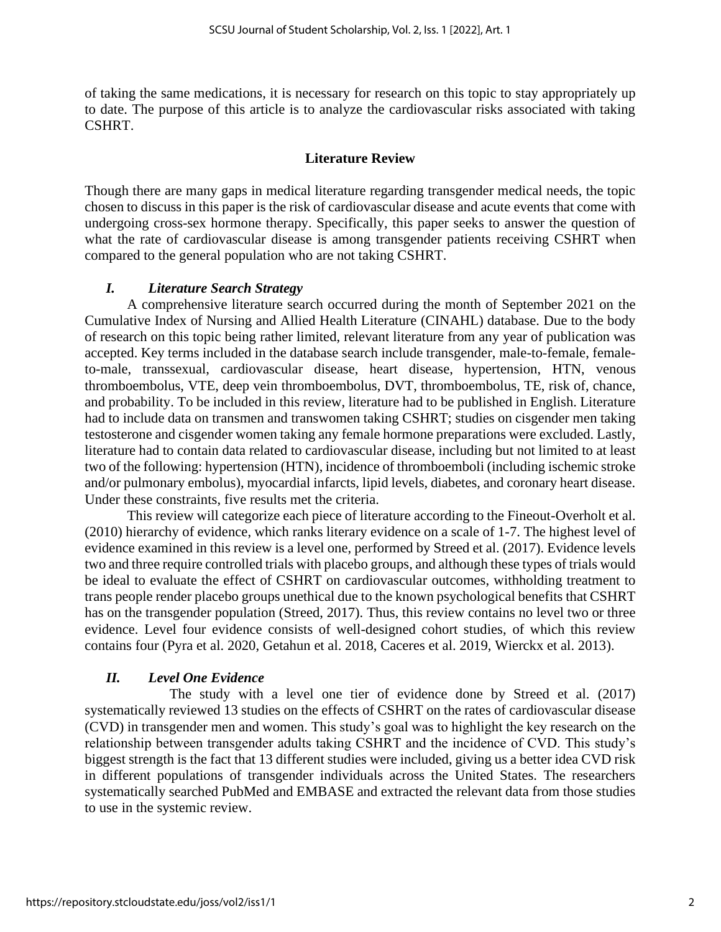of taking the same medications, it is necessary for research on this topic to stay appropriately up to date. The purpose of this article is to analyze the cardiovascular risks associated with taking CSHRT.

## **Literature Review**

Though there are many gaps in medical literature regarding transgender medical needs, the topic chosen to discuss in this paper is the risk of cardiovascular disease and acute events that come with undergoing cross-sex hormone therapy. Specifically, this paper seeks to answer the question of what the rate of cardiovascular disease is among transgender patients receiving CSHRT when compared to the general population who are not taking CSHRT.

## *I. Literature Search Strategy*

A comprehensive literature search occurred during the month of September 2021 on the Cumulative Index of Nursing and Allied Health Literature (CINAHL) database. Due to the body of research on this topic being rather limited, relevant literature from any year of publication was accepted. Key terms included in the database search include transgender, male-to-female, femaleto-male, transsexual, cardiovascular disease, heart disease, hypertension, HTN, venous thromboembolus, VTE, deep vein thromboembolus, DVT, thromboembolus, TE, risk of, chance, and probability. To be included in this review, literature had to be published in English. Literature had to include data on transmen and transwomen taking CSHRT; studies on cisgender men taking testosterone and cisgender women taking any female hormone preparations were excluded. Lastly, literature had to contain data related to cardiovascular disease, including but not limited to at least two of the following: hypertension (HTN), incidence of thromboemboli (including ischemic stroke and/or pulmonary embolus), myocardial infarcts, lipid levels, diabetes, and coronary heart disease. Under these constraints, five results met the criteria.

This review will categorize each piece of literature according to the Fineout-Overholt et al. (2010) hierarchy of evidence, which ranks literary evidence on a scale of 1-7. The highest level of evidence examined in this review is a level one, performed by Streed et al. (2017). Evidence levels two and three require controlled trials with placebo groups, and although these types of trials would be ideal to evaluate the effect of CSHRT on cardiovascular outcomes, withholding treatment to trans people render placebo groups unethical due to the known psychological benefits that CSHRT has on the transgender population (Streed, 2017). Thus, this review contains no level two or three evidence. Level four evidence consists of well-designed cohort studies, of which this review contains four (Pyra et al. 2020, Getahun et al. 2018, Caceres et al. 2019, Wierckx et al. 2013).

## *II. Level One Evidence*

The study with a level one tier of evidence done by Streed et al. (2017) systematically reviewed 13 studies on the effects of CSHRT on the rates of cardiovascular disease (CVD) in transgender men and women. This study's goal was to highlight the key research on the relationship between transgender adults taking CSHRT and the incidence of CVD. This study's biggest strength is the fact that 13 different studies were included, giving us a better idea CVD risk in different populations of transgender individuals across the United States. The researchers systematically searched PubMed and EMBASE and extracted the relevant data from those studies to use in the systemic review.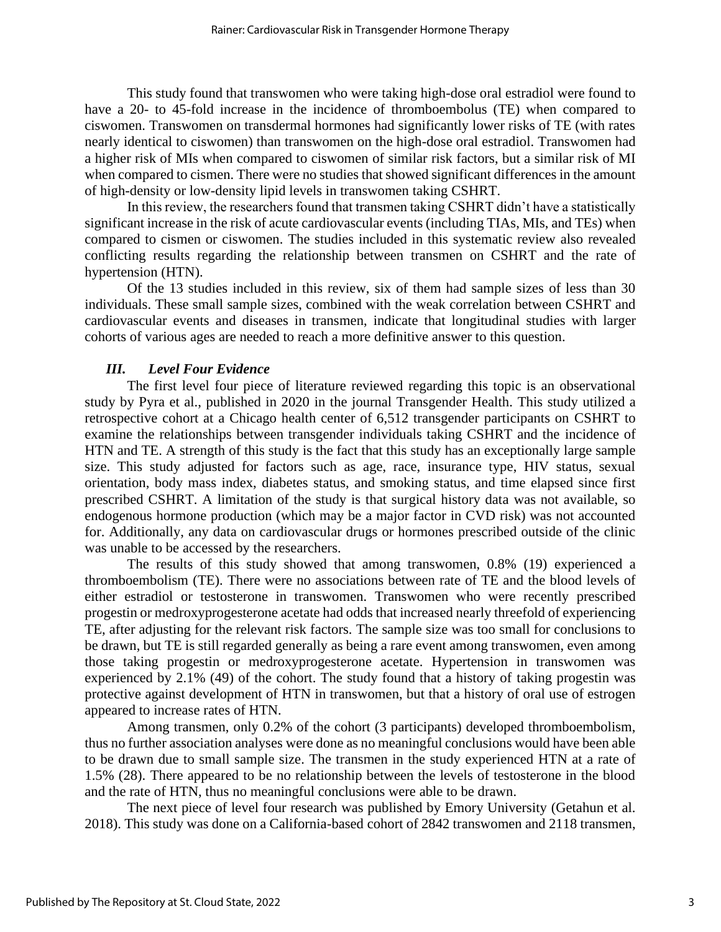This study found that transwomen who were taking high-dose oral estradiol were found to have a 20- to 45-fold increase in the incidence of thromboembolus (TE) when compared to ciswomen. Transwomen on transdermal hormones had significantly lower risks of TE (with rates nearly identical to ciswomen) than transwomen on the high-dose oral estradiol. Transwomen had a higher risk of MIs when compared to ciswomen of similar risk factors, but a similar risk of MI when compared to cismen. There were no studies that showed significant differences in the amount of high-density or low-density lipid levels in transwomen taking CSHRT.

In this review, the researchers found that transmen taking CSHRT didn't have a statistically significant increase in the risk of acute cardiovascular events (including TIAs, MIs, and TEs) when compared to cismen or ciswomen. The studies included in this systematic review also revealed conflicting results regarding the relationship between transmen on CSHRT and the rate of hypertension (HTN).

Of the 13 studies included in this review, six of them had sample sizes of less than 30 individuals. These small sample sizes, combined with the weak correlation between CSHRT and cardiovascular events and diseases in transmen, indicate that longitudinal studies with larger cohorts of various ages are needed to reach a more definitive answer to this question.

#### *III. Level Four Evidence*

The first level four piece of literature reviewed regarding this topic is an observational study by Pyra et al., published in 2020 in the journal Transgender Health. This study utilized a retrospective cohort at a Chicago health center of 6,512 transgender participants on CSHRT to examine the relationships between transgender individuals taking CSHRT and the incidence of HTN and TE. A strength of this study is the fact that this study has an exceptionally large sample size. This study adjusted for factors such as age, race, insurance type, HIV status, sexual orientation, body mass index, diabetes status, and smoking status, and time elapsed since first prescribed CSHRT. A limitation of the study is that surgical history data was not available, so endogenous hormone production (which may be a major factor in CVD risk) was not accounted for. Additionally, any data on cardiovascular drugs or hormones prescribed outside of the clinic was unable to be accessed by the researchers.

The results of this study showed that among transwomen, 0.8% (19) experienced a thromboembolism (TE). There were no associations between rate of TE and the blood levels of either estradiol or testosterone in transwomen. Transwomen who were recently prescribed progestin or medroxyprogesterone acetate had odds that increased nearly threefold of experiencing TE, after adjusting for the relevant risk factors. The sample size was too small for conclusions to be drawn, but TE is still regarded generally as being a rare event among transwomen, even among those taking progestin or medroxyprogesterone acetate. Hypertension in transwomen was experienced by 2.1% (49) of the cohort. The study found that a history of taking progestin was protective against development of HTN in transwomen, but that a history of oral use of estrogen appeared to increase rates of HTN.

Among transmen, only 0.2% of the cohort (3 participants) developed thromboembolism, thus no further association analyses were done as no meaningful conclusions would have been able to be drawn due to small sample size. The transmen in the study experienced HTN at a rate of 1.5% (28). There appeared to be no relationship between the levels of testosterone in the blood and the rate of HTN, thus no meaningful conclusions were able to be drawn.

The next piece of level four research was published by Emory University (Getahun et al. 2018). This study was done on a California-based cohort of 2842 transwomen and 2118 transmen,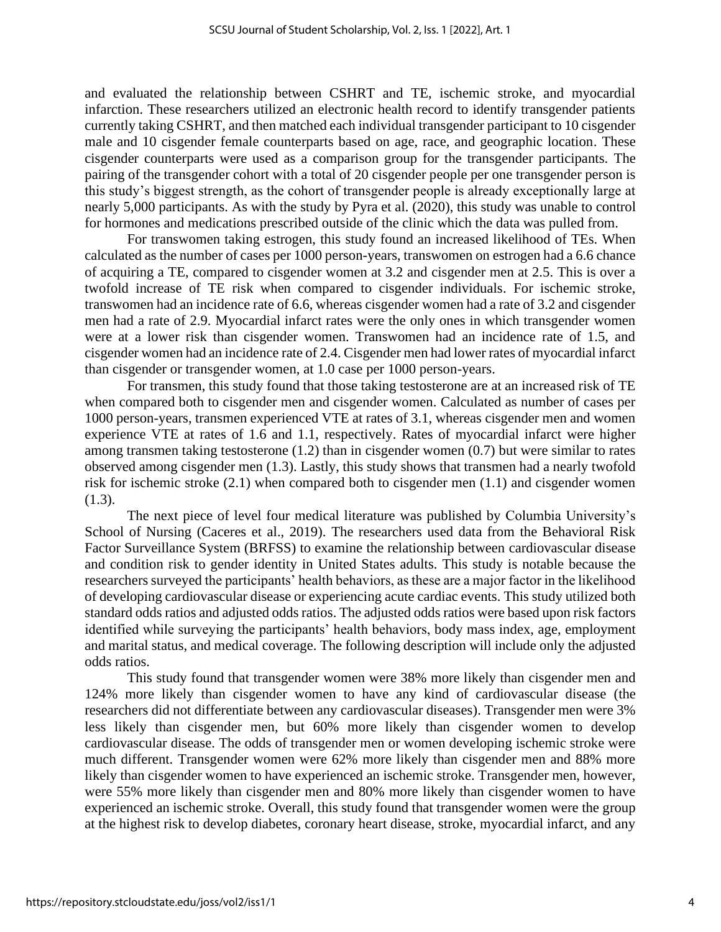and evaluated the relationship between CSHRT and TE, ischemic stroke, and myocardial infarction. These researchers utilized an electronic health record to identify transgender patients currently taking CSHRT, and then matched each individual transgender participant to 10 cisgender male and 10 cisgender female counterparts based on age, race, and geographic location. These cisgender counterparts were used as a comparison group for the transgender participants. The pairing of the transgender cohort with a total of 20 cisgender people per one transgender person is this study's biggest strength, as the cohort of transgender people is already exceptionally large at nearly 5,000 participants. As with the study by Pyra et al. (2020), this study was unable to control for hormones and medications prescribed outside of the clinic which the data was pulled from.

For transwomen taking estrogen, this study found an increased likelihood of TEs. When calculated as the number of cases per 1000 person-years, transwomen on estrogen had a 6.6 chance of acquiring a TE, compared to cisgender women at 3.2 and cisgender men at 2.5. This is over a twofold increase of TE risk when compared to cisgender individuals. For ischemic stroke, transwomen had an incidence rate of 6.6, whereas cisgender women had a rate of 3.2 and cisgender men had a rate of 2.9. Myocardial infarct rates were the only ones in which transgender women were at a lower risk than cisgender women. Transwomen had an incidence rate of 1.5, and cisgender women had an incidence rate of 2.4. Cisgender men had lower rates of myocardial infarct than cisgender or transgender women, at 1.0 case per 1000 person-years.

For transmen, this study found that those taking testosterone are at an increased risk of TE when compared both to cisgender men and cisgender women. Calculated as number of cases per 1000 person-years, transmen experienced VTE at rates of 3.1, whereas cisgender men and women experience VTE at rates of 1.6 and 1.1, respectively. Rates of myocardial infarct were higher among transmen taking testosterone (1.2) than in cisgender women (0.7) but were similar to rates observed among cisgender men (1.3). Lastly, this study shows that transmen had a nearly twofold risk for ischemic stroke (2.1) when compared both to cisgender men (1.1) and cisgender women (1.3).

The next piece of level four medical literature was published by Columbia University's School of Nursing (Caceres et al., 2019). The researchers used data from the Behavioral Risk Factor Surveillance System (BRFSS) to examine the relationship between cardiovascular disease and condition risk to gender identity in United States adults. This study is notable because the researchers surveyed the participants' health behaviors, as these are a major factor in the likelihood of developing cardiovascular disease or experiencing acute cardiac events. This study utilized both standard odds ratios and adjusted odds ratios. The adjusted odds ratios were based upon risk factors identified while surveying the participants' health behaviors, body mass index, age, employment and marital status, and medical coverage. The following description will include only the adjusted odds ratios.

This study found that transgender women were 38% more likely than cisgender men and 124% more likely than cisgender women to have any kind of cardiovascular disease (the researchers did not differentiate between any cardiovascular diseases). Transgender men were 3% less likely than cisgender men, but 60% more likely than cisgender women to develop cardiovascular disease. The odds of transgender men or women developing ischemic stroke were much different. Transgender women were 62% more likely than cisgender men and 88% more likely than cisgender women to have experienced an ischemic stroke. Transgender men, however, were 55% more likely than cisgender men and 80% more likely than cisgender women to have experienced an ischemic stroke. Overall, this study found that transgender women were the group at the highest risk to develop diabetes, coronary heart disease, stroke, myocardial infarct, and any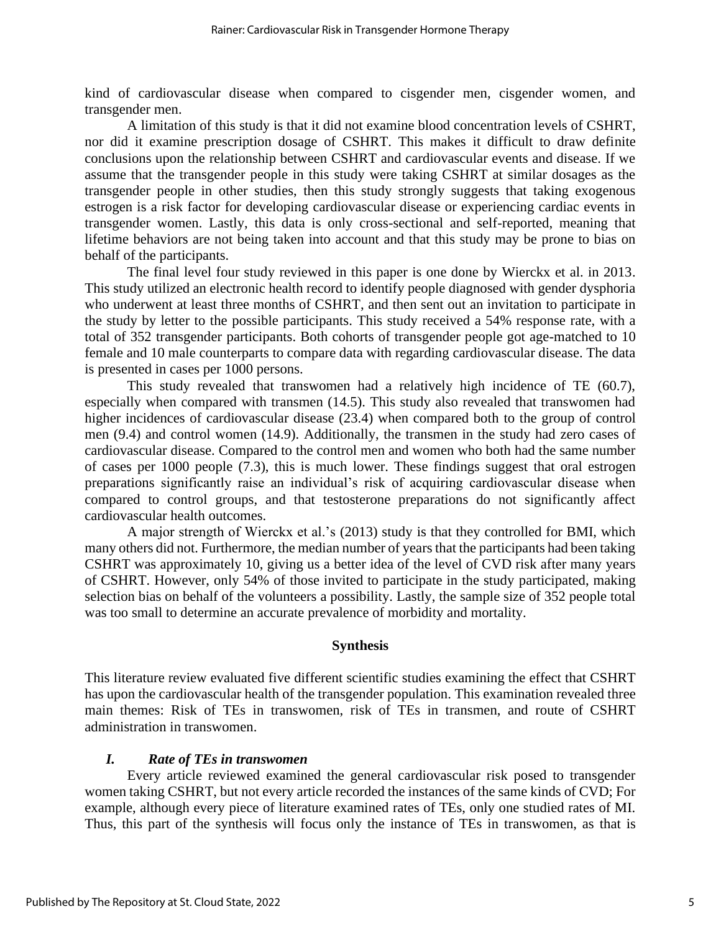kind of cardiovascular disease when compared to cisgender men, cisgender women, and transgender men.

A limitation of this study is that it did not examine blood concentration levels of CSHRT, nor did it examine prescription dosage of CSHRT. This makes it difficult to draw definite conclusions upon the relationship between CSHRT and cardiovascular events and disease. If we assume that the transgender people in this study were taking CSHRT at similar dosages as the transgender people in other studies, then this study strongly suggests that taking exogenous estrogen is a risk factor for developing cardiovascular disease or experiencing cardiac events in transgender women. Lastly, this data is only cross-sectional and self-reported, meaning that lifetime behaviors are not being taken into account and that this study may be prone to bias on behalf of the participants.

The final level four study reviewed in this paper is one done by Wierckx et al. in 2013. This study utilized an electronic health record to identify people diagnosed with gender dysphoria who underwent at least three months of CSHRT, and then sent out an invitation to participate in the study by letter to the possible participants. This study received a 54% response rate, with a total of 352 transgender participants. Both cohorts of transgender people got age-matched to 10 female and 10 male counterparts to compare data with regarding cardiovascular disease. The data is presented in cases per 1000 persons.

This study revealed that transwomen had a relatively high incidence of TE (60.7), especially when compared with transmen (14.5). This study also revealed that transwomen had higher incidences of cardiovascular disease (23.4) when compared both to the group of control men (9.4) and control women (14.9). Additionally, the transmen in the study had zero cases of cardiovascular disease. Compared to the control men and women who both had the same number of cases per 1000 people (7.3), this is much lower. These findings suggest that oral estrogen preparations significantly raise an individual's risk of acquiring cardiovascular disease when compared to control groups, and that testosterone preparations do not significantly affect cardiovascular health outcomes.

A major strength of Wierckx et al.'s (2013) study is that they controlled for BMI, which many others did not. Furthermore, the median number of years that the participants had been taking CSHRT was approximately 10, giving us a better idea of the level of CVD risk after many years of CSHRT. However, only 54% of those invited to participate in the study participated, making selection bias on behalf of the volunteers a possibility. Lastly, the sample size of 352 people total was too small to determine an accurate prevalence of morbidity and mortality.

#### **Synthesis**

This literature review evaluated five different scientific studies examining the effect that CSHRT has upon the cardiovascular health of the transgender population. This examination revealed three main themes: Risk of TEs in transwomen, risk of TEs in transmen, and route of CSHRT administration in transwomen.

#### *I. Rate of TEs in transwomen*

Every article reviewed examined the general cardiovascular risk posed to transgender women taking CSHRT, but not every article recorded the instances of the same kinds of CVD; For example, although every piece of literature examined rates of TEs, only one studied rates of MI. Thus, this part of the synthesis will focus only the instance of TEs in transwomen, as that is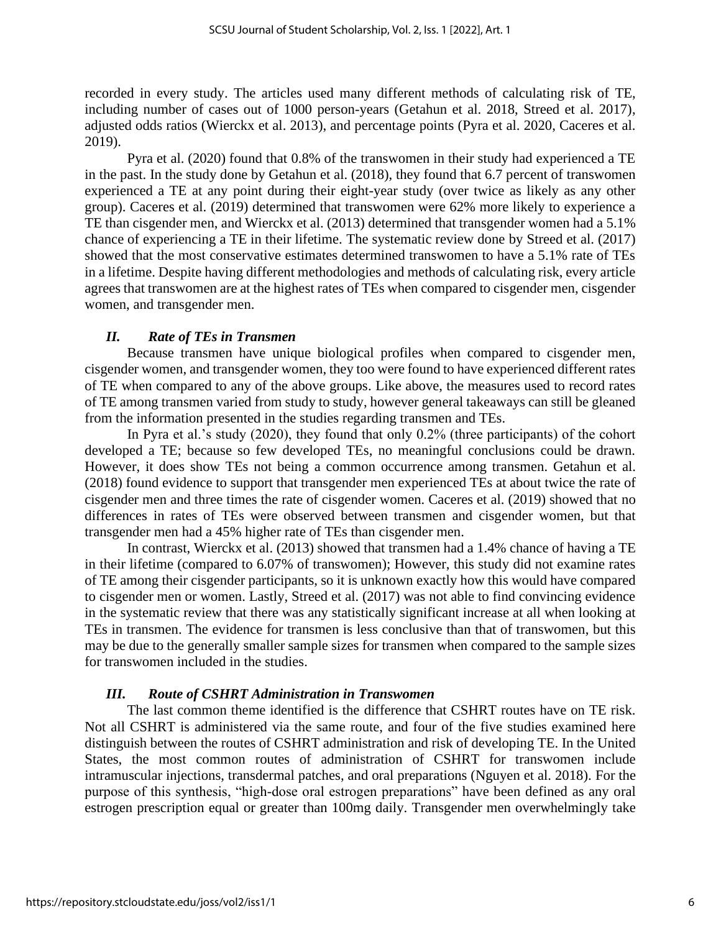recorded in every study. The articles used many different methods of calculating risk of TE, including number of cases out of 1000 person-years (Getahun et al. 2018, Streed et al. 2017), adjusted odds ratios (Wierckx et al. 2013), and percentage points (Pyra et al. 2020, Caceres et al. 2019).

Pyra et al. (2020) found that 0.8% of the transwomen in their study had experienced a TE in the past. In the study done by Getahun et al. (2018), they found that 6.7 percent of transwomen experienced a TE at any point during their eight-year study (over twice as likely as any other group). Caceres et al. (2019) determined that transwomen were 62% more likely to experience a TE than cisgender men, and Wierckx et al. (2013) determined that transgender women had a 5.1% chance of experiencing a TE in their lifetime. The systematic review done by Streed et al. (2017) showed that the most conservative estimates determined transwomen to have a 5.1% rate of TEs in a lifetime. Despite having different methodologies and methods of calculating risk, every article agrees that transwomen are at the highest rates of TEs when compared to cisgender men, cisgender women, and transgender men.

## *II. Rate of TEs in Transmen*

Because transmen have unique biological profiles when compared to cisgender men, cisgender women, and transgender women, they too were found to have experienced different rates of TE when compared to any of the above groups. Like above, the measures used to record rates of TE among transmen varied from study to study, however general takeaways can still be gleaned from the information presented in the studies regarding transmen and TEs.

In Pyra et al.'s study (2020), they found that only 0.2% (three participants) of the cohort developed a TE; because so few developed TEs, no meaningful conclusions could be drawn. However, it does show TEs not being a common occurrence among transmen. Getahun et al. (2018) found evidence to support that transgender men experienced TEs at about twice the rate of cisgender men and three times the rate of cisgender women. Caceres et al. (2019) showed that no differences in rates of TEs were observed between transmen and cisgender women, but that transgender men had a 45% higher rate of TEs than cisgender men.

In contrast, Wierckx et al. (2013) showed that transmen had a 1.4% chance of having a TE in their lifetime (compared to 6.07% of transwomen); However, this study did not examine rates of TE among their cisgender participants, so it is unknown exactly how this would have compared to cisgender men or women. Lastly, Streed et al. (2017) was not able to find convincing evidence in the systematic review that there was any statistically significant increase at all when looking at TEs in transmen. The evidence for transmen is less conclusive than that of transwomen, but this may be due to the generally smaller sample sizes for transmen when compared to the sample sizes for transwomen included in the studies.

## *III. Route of CSHRT Administration in Transwomen*

The last common theme identified is the difference that CSHRT routes have on TE risk. Not all CSHRT is administered via the same route, and four of the five studies examined here distinguish between the routes of CSHRT administration and risk of developing TE. In the United States, the most common routes of administration of CSHRT for transwomen include intramuscular injections, transdermal patches, and oral preparations (Nguyen et al. 2018). For the purpose of this synthesis, "high-dose oral estrogen preparations" have been defined as any oral estrogen prescription equal or greater than 100mg daily. Transgender men overwhelmingly take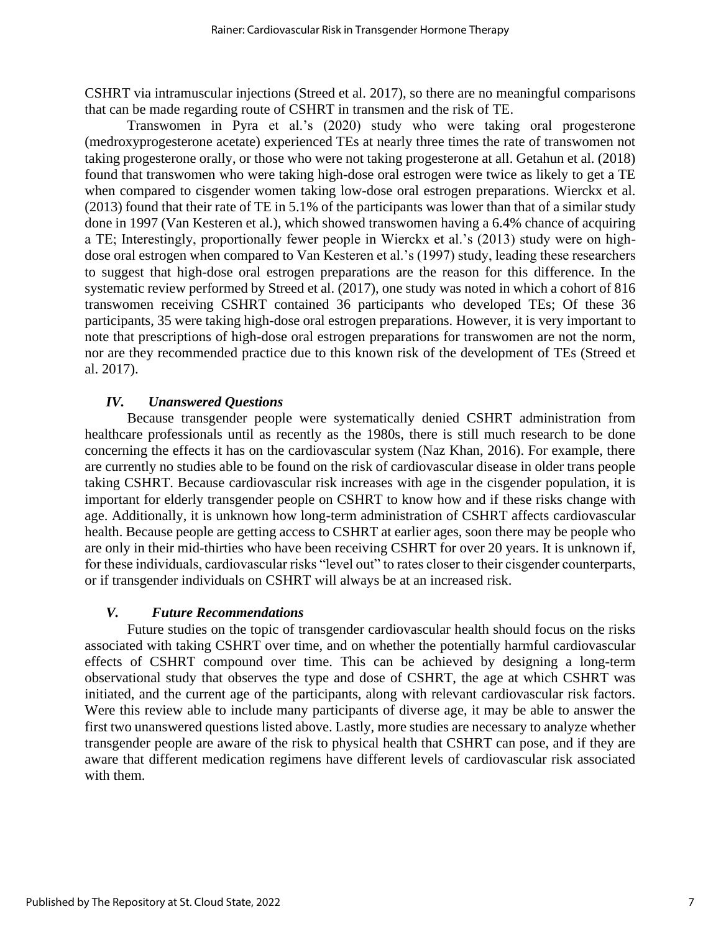CSHRT via intramuscular injections (Streed et al. 2017), so there are no meaningful comparisons that can be made regarding route of CSHRT in transmen and the risk of TE.

Transwomen in Pyra et al.'s (2020) study who were taking oral progesterone (medroxyprogesterone acetate) experienced TEs at nearly three times the rate of transwomen not taking progesterone orally, or those who were not taking progesterone at all. Getahun et al. (2018) found that transwomen who were taking high-dose oral estrogen were twice as likely to get a TE when compared to cisgender women taking low-dose oral estrogen preparations. Wierckx et al. (2013) found that their rate of TE in 5.1% of the participants was lower than that of a similar study done in 1997 (Van Kesteren et al.), which showed transwomen having a 6.4% chance of acquiring a TE; Interestingly, proportionally fewer people in Wierckx et al.'s (2013) study were on highdose oral estrogen when compared to Van Kesteren et al.'s (1997) study, leading these researchers to suggest that high-dose oral estrogen preparations are the reason for this difference. In the systematic review performed by Streed et al. (2017), one study was noted in which a cohort of 816 transwomen receiving CSHRT contained 36 participants who developed TEs; Of these 36 participants, 35 were taking high-dose oral estrogen preparations. However, it is very important to note that prescriptions of high-dose oral estrogen preparations for transwomen are not the norm, nor are they recommended practice due to this known risk of the development of TEs (Streed et al. 2017).

## *IV. Unanswered Questions*

Because transgender people were systematically denied CSHRT administration from healthcare professionals until as recently as the 1980s, there is still much research to be done concerning the effects it has on the cardiovascular system (Naz Khan, 2016). For example, there are currently no studies able to be found on the risk of cardiovascular disease in older trans people taking CSHRT. Because cardiovascular risk increases with age in the cisgender population, it is important for elderly transgender people on CSHRT to know how and if these risks change with age. Additionally, it is unknown how long-term administration of CSHRT affects cardiovascular health. Because people are getting access to CSHRT at earlier ages, soon there may be people who are only in their mid-thirties who have been receiving CSHRT for over 20 years. It is unknown if, for these individuals, cardiovascular risks "level out" to rates closer to their cisgender counterparts, or if transgender individuals on CSHRT will always be at an increased risk.

#### *V. Future Recommendations*

Future studies on the topic of transgender cardiovascular health should focus on the risks associated with taking CSHRT over time, and on whether the potentially harmful cardiovascular effects of CSHRT compound over time. This can be achieved by designing a long-term observational study that observes the type and dose of CSHRT, the age at which CSHRT was initiated, and the current age of the participants, along with relevant cardiovascular risk factors. Were this review able to include many participants of diverse age, it may be able to answer the first two unanswered questions listed above. Lastly, more studies are necessary to analyze whether transgender people are aware of the risk to physical health that CSHRT can pose, and if they are aware that different medication regimens have different levels of cardiovascular risk associated with them.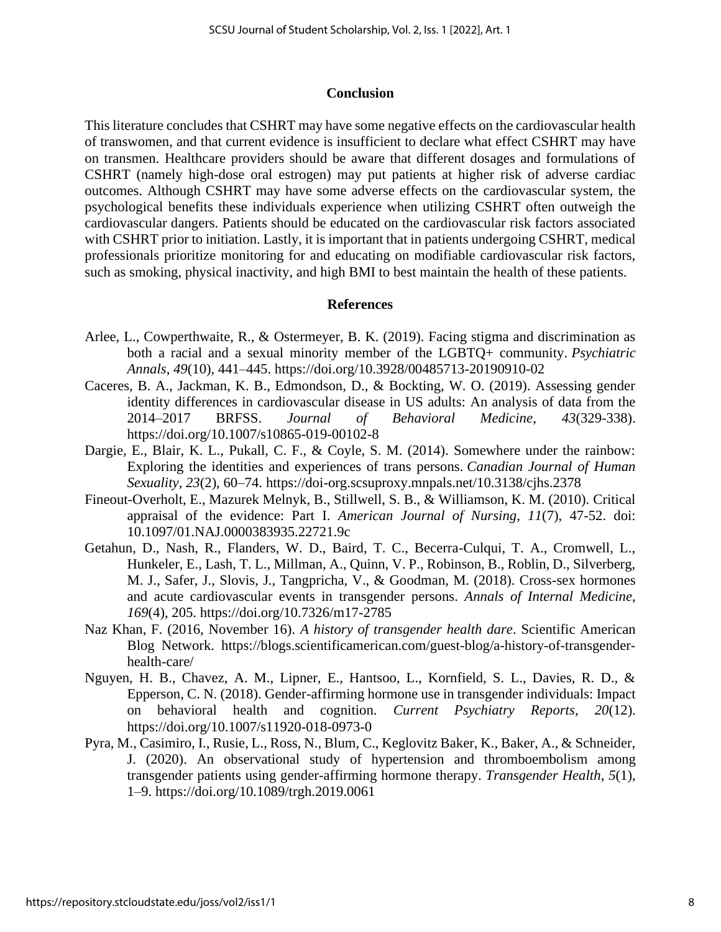#### **Conclusion**

This literature concludes that CSHRT may have some negative effects on the cardiovascular health of transwomen, and that current evidence is insufficient to declare what effect CSHRT may have on transmen. Healthcare providers should be aware that different dosages and formulations of CSHRT (namely high-dose oral estrogen) may put patients at higher risk of adverse cardiac outcomes. Although CSHRT may have some adverse effects on the cardiovascular system, the psychological benefits these individuals experience when utilizing CSHRT often outweigh the cardiovascular dangers. Patients should be educated on the cardiovascular risk factors associated with CSHRT prior to initiation. Lastly, it is important that in patients undergoing CSHRT, medical professionals prioritize monitoring for and educating on modifiable cardiovascular risk factors, such as smoking, physical inactivity, and high BMI to best maintain the health of these patients.

#### **References**

- Arlee, L., Cowperthwaite, R., & Ostermeyer, B. K. (2019). Facing stigma and discrimination as both a racial and a sexual minority member of the LGBTQ+ community. *Psychiatric Annals*, *49*(10), 441–445. https://doi.org/10.3928/00485713-20190910-02
- Caceres, B. A., Jackman, K. B., Edmondson, D., & Bockting, W. O. (2019). Assessing gender identity differences in cardiovascular disease in US adults: An analysis of data from the 2014–2017 BRFSS. *Journal of Behavioral Medicine*, *43*(329-338). https://doi.org/10.1007/s10865-019-00102-8
- Dargie, E., Blair, K. L., Pukall, C. F., & Coyle, S. M. (2014). Somewhere under the rainbow: Exploring the identities and experiences of trans persons. *Canadian Journal of Human Sexuality*, *23*(2), 60–74. https://doi-org.scsuproxy.mnpals.net/10.3138/cjhs.2378
- Fineout-Overholt, E., Mazurek Melnyk, B., Stillwell, S. B., & Williamson, K. M. (2010). Critical appraisal of the evidence: Part I. *American Journal of Nursing, 11*(7), 47-52. doi: 10.1097/01.NAJ.0000383935.22721.9c
- Getahun, D., Nash, R., Flanders, W. D., Baird, T. C., Becerra-Culqui, T. A., Cromwell, L., Hunkeler, E., Lash, T. L., Millman, A., Quinn, V. P., Robinson, B., Roblin, D., Silverberg, M. J., Safer, J., Slovis, J., Tangpricha, V., & Goodman, M. (2018). Cross-sex hormones and acute cardiovascular events in transgender persons. *Annals of Internal Medicine*, *169*(4), 205. https://doi.org/10.7326/m17-2785
- Naz Khan, F. (2016, November 16). *A history of transgender health dare*. Scientific American Blog Network. https://blogs.scientificamerican.com/guest-blog/a-history-of-transgenderhealth-care/
- Nguyen, H. B., Chavez, A. M., Lipner, E., Hantsoo, L., Kornfield, S. L., Davies, R. D., & Epperson, C. N. (2018). Gender-affirming hormone use in transgender individuals: Impact on behavioral health and cognition. *Current Psychiatry Reports*, *20*(12). https://doi.org/10.1007/s11920-018-0973-0
- Pyra, M., Casimiro, I., Rusie, L., Ross, N., Blum, C., Keglovitz Baker, K., Baker, A., & Schneider, J. (2020). An observational study of hypertension and thromboembolism among transgender patients using gender-affirming hormone therapy. *Transgender Health*, *5*(1), 1–9. https://doi.org/10.1089/trgh.2019.0061